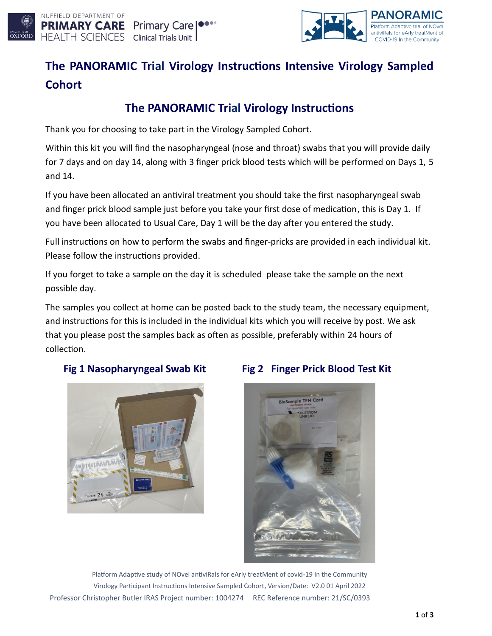



# **The PANORAMIC Trial Virology Instructions Intensive Virology Sampled Cohort**

## **The PANORAMIC Trial Virology Instructions**

Thank you for choosing to take part in the Virology Sampled Cohort.

Within this kit you will find the nasopharyngeal (nose and throat) swabs that you will provide daily for 7 days and on day 14, along with 3 finger prick blood tests which will be performed on Days 1, 5 and 14.

If you have been allocated an antiviral treatment you should take the first nasopharyngeal swab and finger prick blood sample just before you take your first dose of medication, this is Day 1. If you have been allocated to Usual Care, Day 1 will be the day after you entered the study.

Full instructions on how to perform the swabs and finger-pricks are provided in each individual kit. Please follow the instructions provided.

If you forget to take a sample on the day it is scheduled please take the sample on the next possible day.

The samples you collect at home can be posted back to the study team, the necessary equipment, and instructions for this is included in the individual kits which you will receive by post. We ask that you please post the samples back as often as possible, preferably within 24 hours of collection.



#### **Fig 1 Nasopharyngeal Swab Kit Fig 2 Finger Prick Blood Test Kit**



Platform Adaptive study of NOvel antiviRals for eArly treatMent of covid-19 In the Community Virology Participant Instructions Intensive Sampled Cohort, Version/Date: V2.0 01 April 2022 Professor Christopher Butler IRAS Project number: 1004274 REC Reference number: 21/SC/0393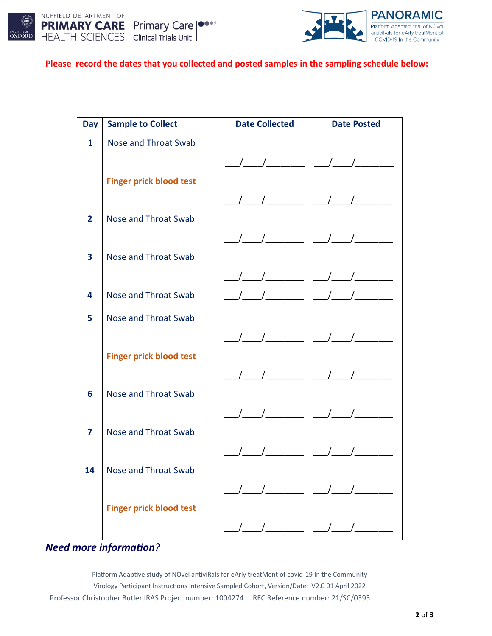



#### **Please record the dates that you collected and posted samples in the sampling schedule below:**

| <b>Day</b>     | <b>Sample to Collect</b>       | <b>Date Collected</b>                                                                                                                                                                                                                                                                                               | <b>Date Posted</b>                                                                                  |
|----------------|--------------------------------|---------------------------------------------------------------------------------------------------------------------------------------------------------------------------------------------------------------------------------------------------------------------------------------------------------------------|-----------------------------------------------------------------------------------------------------|
| $\mathbf{1}$   | Nose and Throat Swab           |                                                                                                                                                                                                                                                                                                                     |                                                                                                     |
|                |                                |                                                                                                                                                                                                                                                                                                                     |                                                                                                     |
|                | <b>Finger prick blood test</b> |                                                                                                                                                                                                                                                                                                                     |                                                                                                     |
|                |                                | $\frac{\Delta}{\Delta}$                                                                                                                                                                                                                                                                                             | $ $ _/__/______                                                                                     |
| $\overline{2}$ | <b>Nose and Throat Swab</b>    |                                                                                                                                                                                                                                                                                                                     |                                                                                                     |
|                |                                |                                                                                                                                                                                                                                                                                                                     |                                                                                                     |
| 3              | <b>Nose and Throat Swab</b>    |                                                                                                                                                                                                                                                                                                                     |                                                                                                     |
|                |                                |                                                                                                                                                                                                                                                                                                                     |                                                                                                     |
| 4              | Nose and Throat Swab           | $\frac{1}{2}$ $\frac{1}{2}$ $\frac{1}{2}$ $\frac{1}{2}$ $\frac{1}{2}$ $\frac{1}{2}$ $\frac{1}{2}$ $\frac{1}{2}$ $\frac{1}{2}$ $\frac{1}{2}$ $\frac{1}{2}$ $\frac{1}{2}$ $\frac{1}{2}$ $\frac{1}{2}$ $\frac{1}{2}$ $\frac{1}{2}$ $\frac{1}{2}$ $\frac{1}{2}$ $\frac{1}{2}$ $\frac{1}{2}$ $\frac{1}{2}$ $\frac{1}{2}$ | $\overline{\phantom{a}}$ $\overline{\phantom{a}}$ $\overline{\phantom{a}}$ $\overline{\phantom{a}}$ |
| 5              | Nose and Throat Swab           |                                                                                                                                                                                                                                                                                                                     |                                                                                                     |
|                |                                |                                                                                                                                                                                                                                                                                                                     |                                                                                                     |
|                | <b>Finger prick blood test</b> |                                                                                                                                                                                                                                                                                                                     |                                                                                                     |
|                |                                |                                                                                                                                                                                                                                                                                                                     |                                                                                                     |
| 6              | <b>Nose and Throat Swab</b>    |                                                                                                                                                                                                                                                                                                                     |                                                                                                     |
|                |                                |                                                                                                                                                                                                                                                                                                                     |                                                                                                     |
| 7              | <b>Nose and Throat Swab</b>    |                                                                                                                                                                                                                                                                                                                     |                                                                                                     |
|                |                                |                                                                                                                                                                                                                                                                                                                     |                                                                                                     |
| 14             | Nose and Throat Swab           |                                                                                                                                                                                                                                                                                                                     |                                                                                                     |
|                |                                |                                                                                                                                                                                                                                                                                                                     |                                                                                                     |
|                | <b>Finger prick blood test</b> |                                                                                                                                                                                                                                                                                                                     |                                                                                                     |
|                |                                |                                                                                                                                                                                                                                                                                                                     |                                                                                                     |

### *Need more information?*

Platform Adaptive study of NOvel antiviRals for eArly treatMent of covid-19 In the Community Virology Participant Instructions Intensive Sampled Cohort, Version/Date: V2.0 01 April 2022 Professor Christopher Butler IRAS Project number: 1004274 REC Reference number: 21/SC/0393